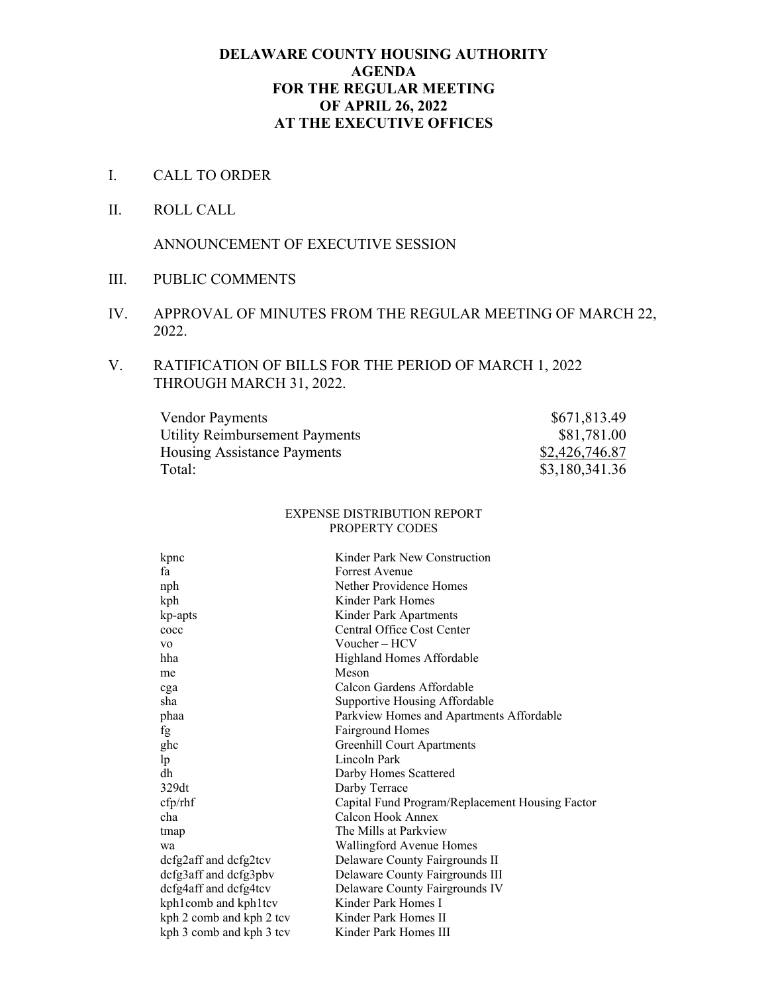## **DELAWARE COUNTY HOUSING AUTHORITY AGENDA FOR THE REGULAR MEETING OF APRIL 26, 2022 AT THE EXECUTIVE OFFICES**

- I. CALL TO ORDER
- II. ROLL CALL

ANNOUNCEMENT OF EXECUTIVE SESSION

- III. PUBLIC COMMENTS
- IV. APPROVAL OF MINUTES FROM THE REGULAR MEETING OF MARCH 22, 2022.

## V. RATIFICATION OF BILLS FOR THE PERIOD OF MARCH 1, 2022 THROUGH MARCH 31, 2022.

| <b>Vendor Payments</b>                | \$671,813.49   |
|---------------------------------------|----------------|
| <b>Utility Reimbursement Payments</b> | \$81,781.00    |
| <b>Housing Assistance Payments</b>    | \$2,426,746.87 |
| Total:                                | \$3,180,341.36 |

#### EXPENSE DISTRIBUTION REPORT PROPERTY CODES

| kpnc                     | Kinder Park New Construction                    |
|--------------------------|-------------------------------------------------|
| fa                       | Forrest Avenue                                  |
| nph                      | Nether Providence Homes                         |
| kph                      | Kinder Park Homes                               |
| kp-apts                  | Kinder Park Apartments                          |
| cocc                     | Central Office Cost Center                      |
| V <sub>O</sub>           | Voucher – HCV                                   |
| hha                      | Highland Homes Affordable                       |
| me                       | Meson                                           |
| cga                      | Calcon Gardens Affordable                       |
| sha                      | Supportive Housing Affordable                   |
| phaa                     | Parkview Homes and Apartments Affordable        |
| fg                       | <b>Fairground Homes</b>                         |
| ghc                      | <b>Greenhill Court Apartments</b>               |
| lp                       | Lincoln Park                                    |
| dh                       | Darby Homes Scattered                           |
| 329dt                    | Darby Terrace                                   |
| cfp/ r h f               | Capital Fund Program/Replacement Housing Factor |
| cha                      | Calcon Hook Annex                               |
| tmap                     | The Mills at Parkview                           |
| wa                       | Wallingford Avenue Homes                        |
| dcfg2aff and dcfg2tcv    | Delaware County Fairgrounds II                  |
| dcfg3aff and dcfg3pbv    | Delaware County Fairgrounds III                 |
| dcfg4aff and dcfg4tcv    | Delaware County Fairgrounds IV                  |
| kph1comb and kph1tcv     | Kinder Park Homes I                             |
| kph 2 comb and kph 2 tcv | Kinder Park Homes II                            |
| kph 3 comb and kph 3 tcv | Kinder Park Homes III                           |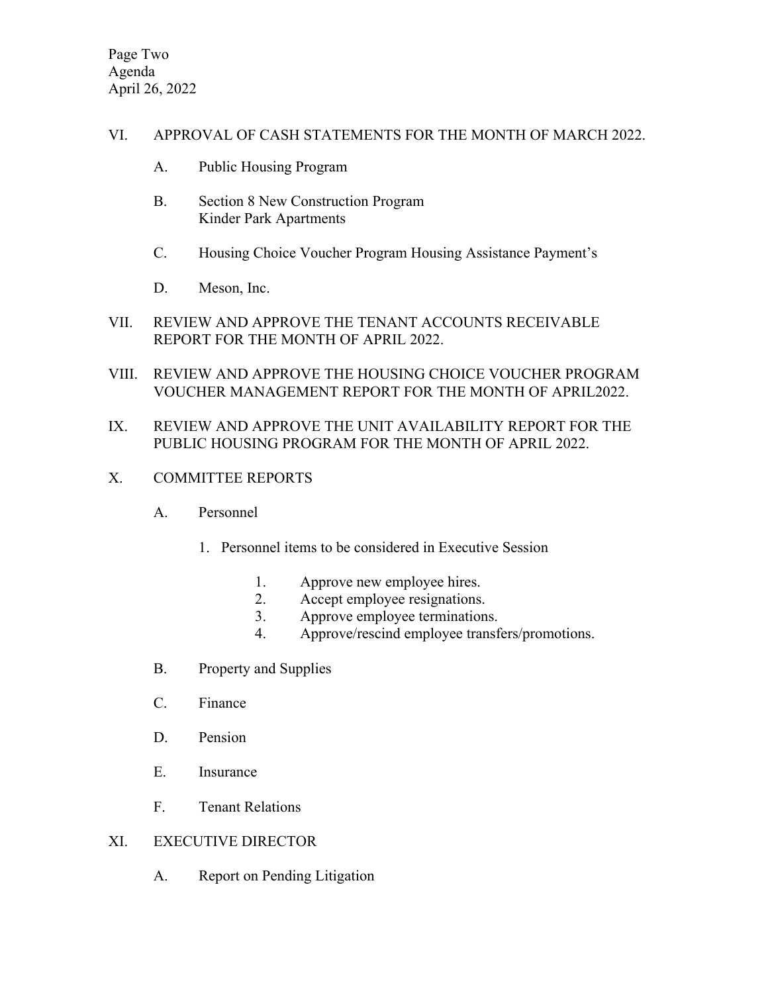## VI. APPROVAL OF CASH STATEMENTS FOR THE MONTH OF MARCH 2022.

- A. Public Housing Program
- B. Section 8 New Construction Program Kinder Park Apartments
- C. Housing Choice Voucher Program Housing Assistance Payment's
- D. Meson, Inc.
- VII. REVIEW AND APPROVE THE TENANT ACCOUNTS RECEIVABLE REPORT FOR THE MONTH OF APRIL 2022.
- VIII. REVIEW AND APPROVE THE HOUSING CHOICE VOUCHER PROGRAM VOUCHER MANAGEMENT REPORT FOR THE MONTH OF APRIL2022.

# IX. REVIEW AND APPROVE THE UNIT AVAILABILITY REPORT FOR THE PUBLIC HOUSING PROGRAM FOR THE MONTH OF APRIL 2022.

- X. COMMITTEE REPORTS
	- A. Personnel
		- 1. Personnel items to be considered in Executive Session
			- 1. Approve new employee hires.
			- 2. Accept employee resignations.
			- 3. Approve employee terminations.
			- 4. Approve/rescind employee transfers/promotions.
	- B. Property and Supplies
	- C. Finance
	- D. Pension
	- E. Insurance
	- F. Tenant Relations

# XI. EXECUTIVE DIRECTOR

A. Report on Pending Litigation